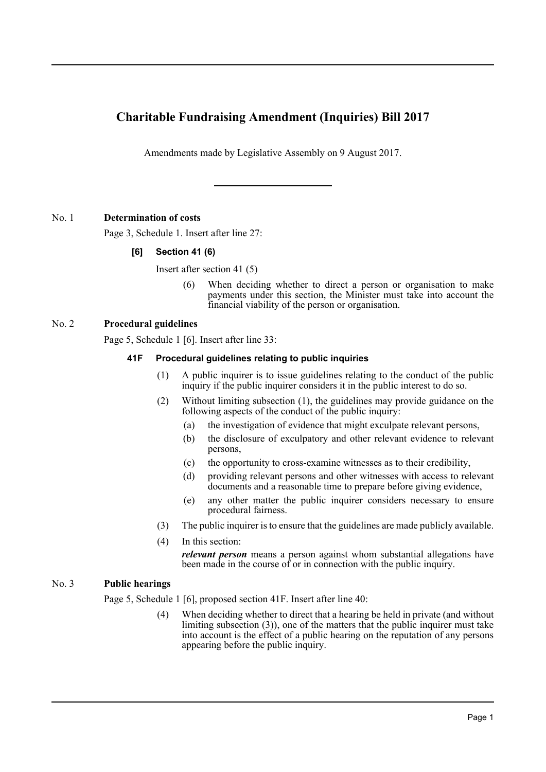# **Charitable Fundraising Amendment (Inquiries) Bill 2017**

Amendments made by Legislative Assembly on 9 August 2017.

# No. 1 **Determination of costs**

Page 3, Schedule 1. Insert after line 27:

# **[6] Section 41 (6)**

Insert after section 41 (5)

(6) When deciding whether to direct a person or organisation to make payments under this section, the Minister must take into account the financial viability of the person or organisation.

# No. 2 **Procedural guidelines**

Page 5, Schedule 1 [6]. Insert after line 33:

# **41F Procedural guidelines relating to public inquiries**

- (1) A public inquirer is to issue guidelines relating to the conduct of the public inquiry if the public inquirer considers it in the public interest to do so.
- (2) Without limiting subsection (1), the guidelines may provide guidance on the following aspects of the conduct of the public inquiry:
	- (a) the investigation of evidence that might exculpate relevant persons,
	- (b) the disclosure of exculpatory and other relevant evidence to relevant persons,
	- (c) the opportunity to cross-examine witnesses as to their credibility,
	- (d) providing relevant persons and other witnesses with access to relevant documents and a reasonable time to prepare before giving evidence,
	- (e) any other matter the public inquirer considers necessary to ensure procedural fairness.
- (3) The public inquirer is to ensure that the guidelines are made publicly available.
- (4) In this section:

*relevant person* means a person against whom substantial allegations have been made in the course of or in connection with the public inquiry.

## No. 3 **Public hearings**

Page 5, Schedule 1 [6], proposed section 41F. Insert after line 40:

(4) When deciding whether to direct that a hearing be held in private (and without limiting subsection (3)), one of the matters that the public inquirer must take into account is the effect of a public hearing on the reputation of any persons appearing before the public inquiry.